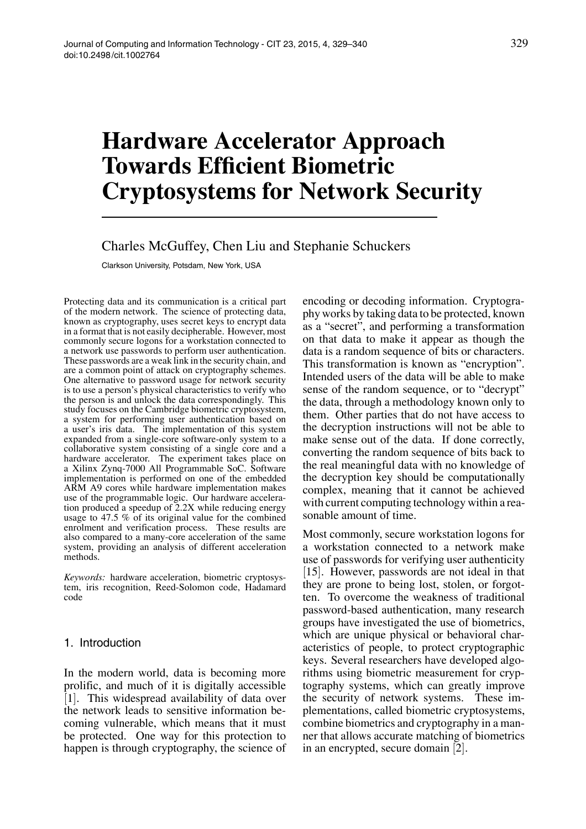# **Hardware Accelerator Approach Towards Efficient Biometric Cryptosystems for Network Security**

# Charles McGuffey, Chen Liu and Stephanie Schuckers

Clarkson University, Potsdam, New York, USA

Protecting data and its communication is a critical part of the modern network. The science of protecting data, known as cryptography, uses secret keys to encrypt data in a format that is not easily decipherable. However, most commonly secure logons for a workstation connected to a network use passwords to perform user authentication. These passwords are a weak link in the security chain, and are a common point of attack on cryptography schemes. One alternative to password usage for network security is to use a person's physical characteristics to verify who the person is and unlock the data correspondingly. This study focuses on the Cambridge biometric cryptosystem, a system for performing user authentication based on a user's iris data. The implementation of this system expanded from a single-core software-only system to a collaborative system consisting of a single core and a hardware accelerator. The experiment takes place on a Xilinx Zynq-7000 All Programmable SoC. Software implementation is performed on one of the embedded ARM A9 cores while hardware implementation makes use of the programmable logic. Our hardware acceleration produced a speedup of 2.2X while reducing energy usage to 47.5 % of its original value for the combined enrolment and verification process. These results are also compared to a many-core acceleration of the same system, providing an analysis of different acceleration methods.

*Keywords:* hardware acceleration, biometric cryptosystem, iris recognition, Reed-Solomon code, Hadamard code

## 1. Introduction

In the modern world, data is becoming more prolific, and much of it is digitally accessible [1]. This widespread availability of data over the network leads to sensitive information becoming vulnerable, which means that it must be protected. One way for this protection to happen is through cryptography, the science of encoding or decoding information. Cryptography works by taking data to be protected, known as a "secret", and performing a transformation on that data to make it appear as though the data is a random sequence of bits or characters. This transformation is known as "encryption". Intended users of the data will be able to make sense of the random sequence, or to "decrypt" the data, through a methodology known only to them. Other parties that do not have access to the decryption instructions will not be able to make sense out of the data. If done correctly, converting the random sequence of bits back to the real meaningful data with no knowledge of the decryption key should be computationally complex, meaning that it cannot be achieved with current computing technology within a reasonable amount of time.

Most commonly, secure workstation logons for a workstation connected to a network make use of passwords for verifying user authenticity [15]. However, passwords are not ideal in that they are prone to being lost, stolen, or forgotten. To overcome the weakness of traditional password-based authentication, many research groups have investigated the use of biometrics, which are unique physical or behavioral characteristics of people, to protect cryptographic keys. Several researchers have developed algorithms using biometric measurement for cryptography systems, which can greatly improve the security of network systems. These implementations, called biometric cryptosystems, combine biometrics and cryptography in a manner that allows accurate matching of biometrics in an encrypted, secure domain [2].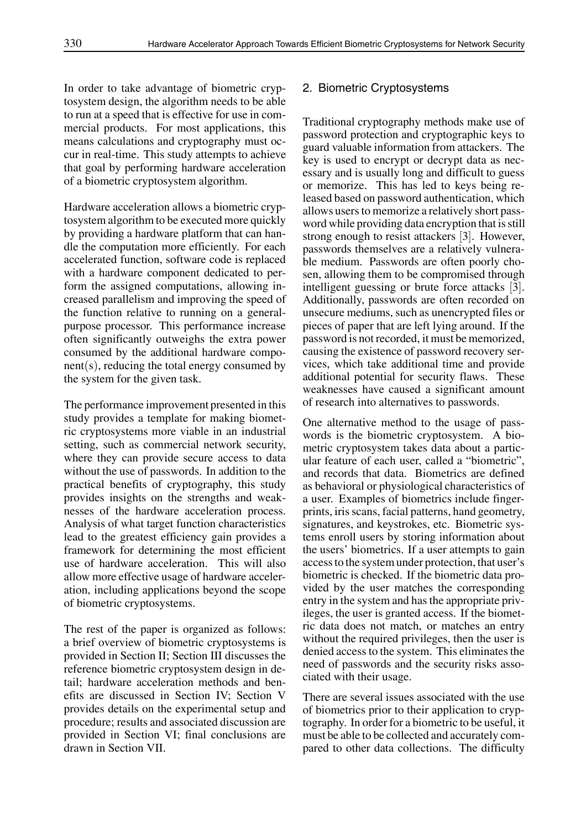In order to take advantage of biometric cryptosystem design, the algorithm needs to be able to run at a speed that is effective for use in commercial products. For most applications, this means calculations and cryptography must occur in real-time. This study attempts to achieve that goal by performing hardware acceleration of a biometric cryptosystem algorithm.

Hardware acceleration allows a biometric cryptosystem algorithm to be executed more quickly by providing a hardware platform that can handle the computation more efficiently. For each accelerated function, software code is replaced with a hardware component dedicated to perform the assigned computations, allowing increased parallelism and improving the speed of the function relative to running on a generalpurpose processor. This performance increase often significantly outweighs the extra power consumed by the additional hardware component(s), reducing the total energy consumed by the system for the given task.

The performance improvement presented in this study provides a template for making biometric cryptosystems more viable in an industrial setting, such as commercial network security, where they can provide secure access to data without the use of passwords. In addition to the practical benefits of cryptography, this study provides insights on the strengths and weaknesses of the hardware acceleration process. Analysis of what target function characteristics lead to the greatest efficiency gain provides a framework for determining the most efficient use of hardware acceleration. This will also allow more effective usage of hardware acceleration, including applications beyond the scope of biometric cryptosystems.

The rest of the paper is organized as follows: a brief overview of biometric cryptosystems is provided in Section II; Section III discusses the reference biometric cryptosystem design in detail; hardware acceleration methods and benefits are discussed in Section IV; Section V provides details on the experimental setup and procedure; results and associated discussion are provided in Section VI; final conclusions are drawn in Section VII.

## 2. Biometric Cryptosystems

Traditional cryptography methods make use of password protection and cryptographic keys to guard valuable information from attackers. The key is used to encrypt or decrypt data as necessary and is usually long and difficult to guess or memorize. This has led to keys being released based on password authentication, which allows users to memorize a relatively short password while providing data encryption that is still strong enough to resist attackers [3]. However, passwords themselves are a relatively vulnerable medium. Passwords are often poorly chosen, allowing them to be compromised through intelligent guessing or brute force attacks [3]. Additionally, passwords are often recorded on unsecure mediums, such as unencrypted files or pieces of paper that are left lying around. If the password is not recorded, it must be memorized, causing the existence of password recovery services, which take additional time and provide additional potential for security flaws. These weaknesses have caused a significant amount of research into alternatives to passwords.

One alternative method to the usage of passwords is the biometric cryptosystem. A biometric cryptosystem takes data about a particular feature of each user, called a "biometric", and records that data. Biometrics are defined as behavioral or physiological characteristics of a user. Examples of biometrics include fingerprints, iris scans, facial patterns, hand geometry, signatures, and keystrokes, etc. Biometric systems enroll users by storing information about the users' biometrics. If a user attempts to gain access to the system under protection, that user's biometric is checked. If the biometric data provided by the user matches the corresponding entry in the system and has the appropriate privileges, the user is granted access. If the biometric data does not match, or matches an entry without the required privileges, then the user is denied access to the system. This eliminates the need of passwords and the security risks associated with their usage.

There are several issues associated with the use of biometrics prior to their application to cryptography. In order for a biometric to be useful, it must be able to be collected and accurately compared to other data collections. The difficulty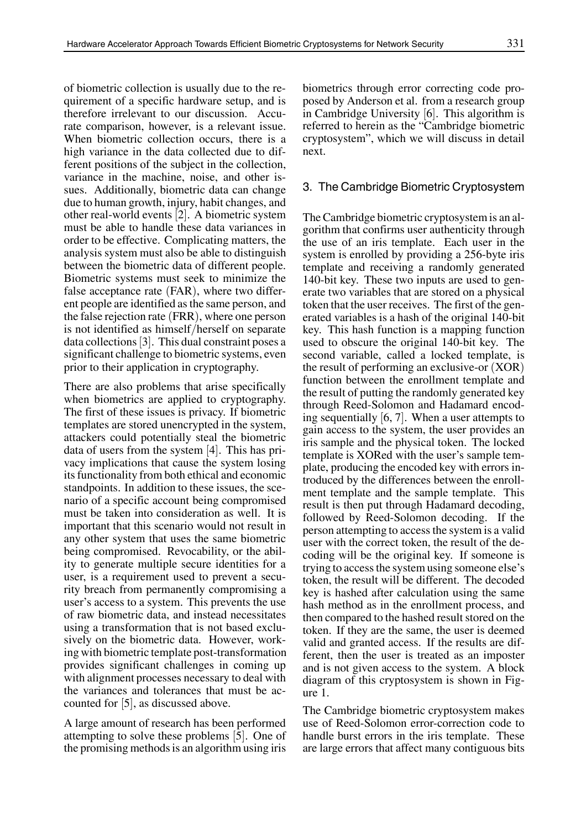of biometric collection is usually due to the requirement of a specific hardware setup, and is therefore irrelevant to our discussion. Accurate comparison, however, is a relevant issue. When biometric collection occurs, there is a high variance in the data collected due to different positions of the subject in the collection, variance in the machine, noise, and other issues. Additionally, biometric data can change due to human growth, injury, habit changes, and other real-world events [2]. A biometric system must be able to handle these data variances in order to be effective. Complicating matters, the analysis system must also be able to distinguish between the biometric data of different people. Biometric systems must seek to minimize the false acceptance rate (FAR), where two different people are identified as the same person, and the false rejection rate (FRR), where one person is not identified as himself/herself on separate data collections[3]. This dual constraint poses a significant challenge to biometric systems, even prior to their application in cryptography.

There are also problems that arise specifically when biometrics are applied to cryptography. The first of these issues is privacy. If biometric templates are stored unencrypted in the system, attackers could potentially steal the biometric data of users from the system [4]. This has privacy implications that cause the system losing its functionality from both ethical and economic standpoints. In addition to these issues, the scenario of a specific account being compromised must be taken into consideration as well. It is important that this scenario would not result in any other system that uses the same biometric being compromised. Revocability, or the ability to generate multiple secure identities for a user, is a requirement used to prevent a security breach from permanently compromising a user's access to a system. This prevents the use of raw biometric data, and instead necessitates using a transformation that is not based exclusively on the biometric data. However, working with biometric template post-transformation provides significant challenges in coming up with alignment processes necessary to deal with the variances and tolerances that must be accounted for  $|5|$ , as discussed above.

A large amount of research has been performed attempting to solve these problems [5]. One of the promising methods is an algorithm using iris biometrics through error correcting code proposed by Anderson et al. from a research group in Cambridge University [6]. This algorithm is referred to herein as the "Cambridge biometric cryptosystem", which we will discuss in detail next.

#### 3. The Cambridge Biometric Cryptosystem

The Cambridge biometric cryptosystem is an algorithm that confirms user authenticity through the use of an iris template. Each user in the system is enrolled by providing a 256-byte iris template and receiving a randomly generated 140-bit key. These two inputs are used to generate two variables that are stored on a physical token that the user receives. The first of the generated variables is a hash of the original 140-bit key. This hash function is a mapping function used to obscure the original 140-bit key. The second variable, called a locked template, is the result of performing an exclusive-or (XOR) function between the enrollment template and the result of putting the randomly generated key through Reed-Solomon and Hadamard encoding sequentially [6, 7]. When a user attempts to gain access to the system, the user provides an iris sample and the physical token. The locked template is XORed with the user's sample template, producing the encoded key with errors introduced by the differences between the enrollment template and the sample template. This result is then put through Hadamard decoding, followed by Reed-Solomon decoding. If the person attempting to access the system is a valid user with the correct token, the result of the decoding will be the original key. If someone is trying to access the system using someone else's token, the result will be different. The decoded key is hashed after calculation using the same hash method as in the enrollment process, and then compared to the hashed result stored on the token. If they are the same, the user is deemed valid and granted access. If the results are different, then the user is treated as an imposter and is not given access to the system. A block diagram of this cryptosystem is shown in Figure 1.

The Cambridge biometric cryptosystem makes use of Reed-Solomon error-correction code to handle burst errors in the iris template. These are large errors that affect many contiguous bits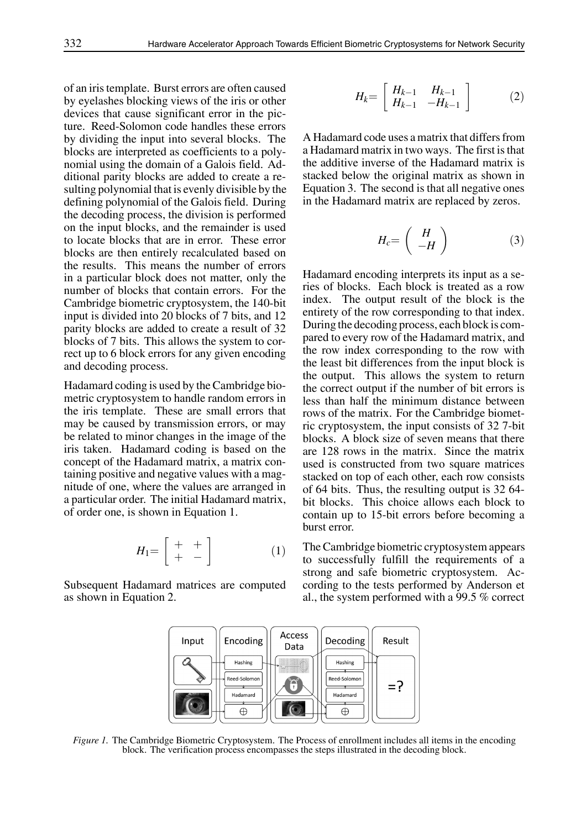of an iris template. Burst errors are often caused by eyelashes blocking views of the iris or other devices that cause significant error in the picture. Reed-Solomon code handles these errors by dividing the input into several blocks. The blocks are interpreted as coefficients to a polynomial using the domain of a Galois field. Additional parity blocks are added to create a resulting polynomial that is evenly divisible by the defining polynomial of the Galois field. During the decoding process, the division is performed on the input blocks, and the remainder is used to locate blocks that are in error. These error blocks are then entirely recalculated based on the results. This means the number of errors in a particular block does not matter, only the number of blocks that contain errors. For the Cambridge biometric cryptosystem, the 140-bit input is divided into 20 blocks of 7 bits, and 12 parity blocks are added to create a result of 32 blocks of 7 bits. This allows the system to correct up to 6 block errors for any given encoding and decoding process.

Hadamard coding is used by the Cambridge biometric cryptosystem to handle random errors in the iris template. These are small errors that may be caused by transmission errors, or may be related to minor changes in the image of the iris taken. Hadamard coding is based on the concept of the Hadamard matrix, a matrix containing positive and negative values with a magnitude of one, where the values are arranged in a particular order. The initial Hadamard matrix, of order one, is shown in Equation 1.

$$
H_1 = \left[ \begin{array}{cc} + & + \\ + & - \end{array} \right] \tag{1}
$$

Subsequent Hadamard matrices are computed as shown in Equation 2.

$$
H_k = \left[ \begin{array}{cc} H_{k-1} & H_{k-1} \\ H_{k-1} & -H_{k-1} \end{array} \right] \tag{2}
$$

A Hadamard code uses a matrix that differs from a Hadamard matrix in two ways. The first is that the additive inverse of the Hadamard matrix is stacked below the original matrix as shown in Equation 3. The second is that all negative ones in the Hadamard matrix are replaced by zeros.

$$
H_c = \left(\begin{array}{c} H \\ -H \end{array}\right) \tag{3}
$$

Hadamard encoding interprets its input as a series of blocks. Each block is treated as a row index. The output result of the block is the entirety of the row corresponding to that index. During the decoding process, each block is compared to every row of the Hadamard matrix, and the row index corresponding to the row with the least bit differences from the input block is the output. This allows the system to return the correct output if the number of bit errors is less than half the minimum distance between rows of the matrix. For the Cambridge biometric cryptosystem, the input consists of 32 7-bit blocks. A block size of seven means that there are 128 rows in the matrix. Since the matrix used is constructed from two square matrices stacked on top of each other, each row consists of 64 bits. Thus, the resulting output is 32 64 bit blocks. This choice allows each block to contain up to 15-bit errors before becoming a burst error.

The Cambridge biometric cryptosystem appears to successfully fulfill the requirements of a strong and safe biometric cryptosystem. According to the tests performed by Anderson et al., the system performed with a 99.5 % correct



*Figure 1.* The Cambridge Biometric Cryptosystem. The Process of enrollment includes all items in the encoding block. The verification process encompasses the steps illustrated in the decoding block.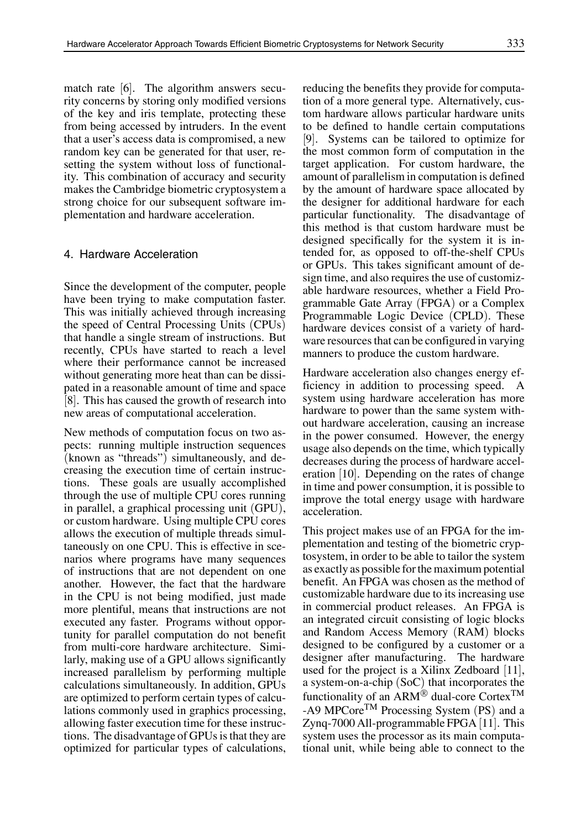match rate [6]. The algorithm answers security concerns by storing only modified versions of the key and iris template, protecting these from being accessed by intruders. In the event that a user's access data is compromised, a new random key can be generated for that user, resetting the system without loss of functionality. This combination of accuracy and security makes the Cambridge biometric cryptosystem a strong choice for our subsequent software implementation and hardware acceleration.

## 4. Hardware Acceleration

Since the development of the computer, people have been trying to make computation faster. This was initially achieved through increasing the speed of Central Processing Units (CPUs) that handle a single stream of instructions. But recently, CPUs have started to reach a level where their performance cannot be increased without generating more heat than can be dissipated in a reasonable amount of time and space [8]. This has caused the growth of research into new areas of computational acceleration.

New methods of computation focus on two aspects: running multiple instruction sequences (known as "threads") simultaneously, and decreasing the execution time of certain instructions. These goals are usually accomplished through the use of multiple CPU cores running in parallel, a graphical processing unit (GPU), or custom hardware. Using multiple CPU cores allows the execution of multiple threads simultaneously on one CPU. This is effective in scenarios where programs have many sequences of instructions that are not dependent on one another. However, the fact that the hardware in the CPU is not being modified, just made more plentiful, means that instructions are not executed any faster. Programs without opportunity for parallel computation do not benefit from multi-core hardware architecture. Similarly, making use of a GPU allows significantly increased parallelism by performing multiple calculations simultaneously. In addition, GPUs are optimized to perform certain types of calculations commonly used in graphics processing, allowing faster execution time for these instructions. The disadvantage of GPUs is that they are optimized for particular types of calculations, reducing the benefits they provide for computation of a more general type. Alternatively, custom hardware allows particular hardware units to be defined to handle certain computations [9]. Systems can be tailored to optimize for the most common form of computation in the target application. For custom hardware, the amount of parallelism in computation is defined by the amount of hardware space allocated by the designer for additional hardware for each particular functionality. The disadvantage of this method is that custom hardware must be designed specifically for the system it is intended for, as opposed to off-the-shelf CPUs or GPUs. This takes significant amount of design time, and also requires the use of customizable hardware resources, whether a Field Programmable Gate Array (FPGA) or a Complex Programmable Logic Device (CPLD). These hardware devices consist of a variety of hardware resources that can be configured in varying manners to produce the custom hardware.

Hardware acceleration also changes energy efficiency in addition to processing speed. A system using hardware acceleration has more hardware to power than the same system without hardware acceleration, causing an increase in the power consumed. However, the energy usage also depends on the time, which typically decreases during the process of hardware acceleration [10]. Depending on the rates of change in time and power consumption, it is possible to improve the total energy usage with hardware acceleration.

This project makes use of an FPGA for the implementation and testing of the biometric cryptosystem, in order to be able to tailor the system as exactly as possible for the maximum potential benefit. An FPGA was chosen as the method of customizable hardware due to its increasing use in commercial product releases. An FPGA is an integrated circuit consisting of logic blocks and Random Access Memory (RAM) blocks designed to be configured by a customer or a designer after manufacturing. The hardware used for the project is a Xilinx Zedboard [11], a system-on-a-chip (SoC) that incorporates the functionality of an ARM<sup> $\overset{\circ}{\otimes}$ </sup> dual-core Cortex<sup>TM</sup> -A9 MPCore<sup>TM</sup> Processing System (PS) and a Zynq-7000 All-programmable FPGA [11]. This system uses the processor as its main computational unit, while being able to connect to the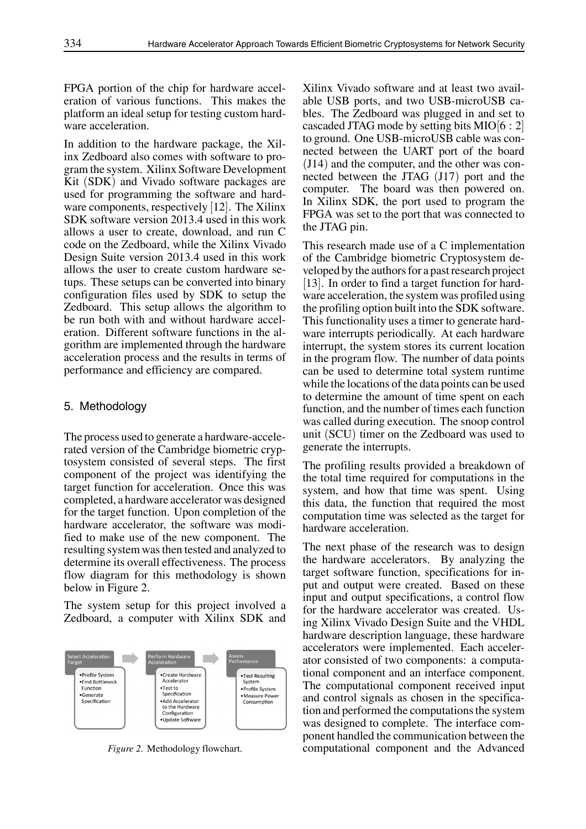FPGA portion of the chip for hardware acceleration of various functions. This makes the platform an ideal setup for testing custom hardware acceleration.

In addition to the hardware package, the Xilinx Zedboard also comes with software to program the system. Xilinx Software Development Kit (SDK) and Vivado software packages are used for programming the software and hardware components, respectively  $[12]$ . The Xilinx SDK software version 2013.4 used in this work allows a user to create, download, and run C code on the Zedboard, while the Xilinx Vivado Design Suite version 2013.4 used in this work allows the user to create custom hardware setups. These setups can be converted into binary configuration files used by SDK to setup the Zedboard. This setup allows the algorithm to be run both with and without hardware acceleration. Different software functions in the algorithm are implemented through the hardware acceleration process and the results in terms of performance and efficiency are compared.

## 5. Methodology

The process used to generate a hardware-accelerated version of the Cambridge biometric cryptosystem consisted of several steps. The first component of the project was identifying the target function for acceleration. Once this was completed, a hardware accelerator was designed for the target function. Upon completion of the hardware accelerator, the software was modified to make use of the new component. The resulting system was then tested and analyzed to determine its overall effectiveness. The process flow diagram for this methodology is shown below in Figure 2.

The system setup for this project involved a Zedboard, a computer with Xilinx SDK and



*Figure 2.* Methodology flowchart.

Xilinx Vivado software and at least two available USB ports, and two USB-microUSB cables. The Zedboard was plugged in and set to cascaded JTAG mode by setting bits MIO $[6:2]$ to ground. One USB-microUSB cable was connected between the UART port of the board (J14) and the computer, and the other was connected between the JTAG (J17) port and the computer. The board was then powered on. In Xilinx SDK, the port used to program the FPGA was set to the port that was connected to the JTAG pin.

This research made use of a C implementation of the Cambridge biometric Cryptosystem developed by the authors for a past research project [13]. In order to find a target function for hardware acceleration, the system was profiled using the profiling option built into the SDK software. This functionality uses a timer to generate hardware interrupts periodically. At each hardware interrupt, the system stores its current location in the program flow. The number of data points can be used to determine total system runtime while the locations of the data points can be used to determine the amount of time spent on each function, and the number of times each function was called during execution. The snoop control unit (SCU) timer on the Zedboard was used to generate the interrupts.

The profiling results provided a breakdown of the total time required for computations in the system, and how that time was spent. Using this data, the function that required the most computation time was selected as the target for hardware acceleration.

The next phase of the research was to design the hardware accelerators. By analyzing the target software function, specifications for input and output were created. Based on these input and output specifications, a control flow for the hardware accelerator was created. Using Xilinx Vivado Design Suite and the VHDL hardware description language, these hardware accelerators were implemented. Each accelerator consisted of two components: a computational component and an interface component. The computational component received input and control signals as chosen in the specification and performed the computations the system was designed to complete. The interface component handled the communication between the computational component and the Advanced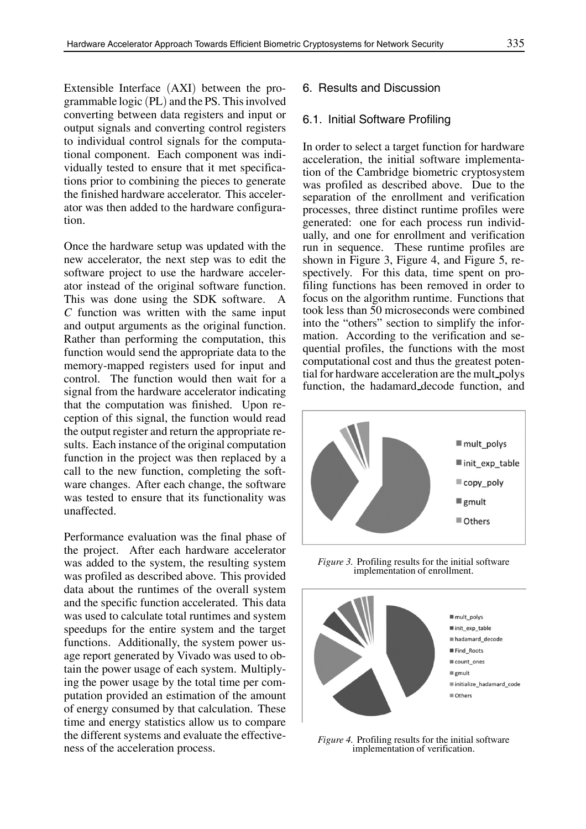Extensible Interface (AXI) between the programmable logic (PL) and the PS. This involved converting between data registers and input or output signals and converting control registers to individual control signals for the computational component. Each component was individually tested to ensure that it met specifications prior to combining the pieces to generate the finished hardware accelerator. This accelerator was then added to the hardware configuration.

Once the hardware setup was updated with the new accelerator, the next step was to edit the software project to use the hardware accelerator instead of the original software function. This was done using the SDK software. A *C* function was written with the same input and output arguments as the original function. Rather than performing the computation, this function would send the appropriate data to the memory-mapped registers used for input and control. The function would then wait for a signal from the hardware accelerator indicating that the computation was finished. Upon reception of this signal, the function would read the output register and return the appropriate results. Each instance of the original computation function in the project was then replaced by a call to the new function, completing the software changes. After each change, the software was tested to ensure that its functionality was unaffected.

Performance evaluation was the final phase of the project. After each hardware accelerator was added to the system, the resulting system was profiled as described above. This provided data about the runtimes of the overall system and the specific function accelerated. This data was used to calculate total runtimes and system speedups for the entire system and the target functions. Additionally, the system power usage report generated by Vivado was used to obtain the power usage of each system. Multiplying the power usage by the total time per computation provided an estimation of the amount of energy consumed by that calculation. These time and energy statistics allow us to compare the different systems and evaluate the effectiveness of the acceleration process.

# 6. Results and Discussion

## 6.1. Initial Software Profiling

In order to select a target function for hardware acceleration, the initial software implementation of the Cambridge biometric cryptosystem was profiled as described above. Due to the separation of the enrollment and verification processes, three distinct runtime profiles were generated: one for each process run individually, and one for enrollment and verification run in sequence. These runtime profiles are shown in Figure 3, Figure 4, and Figure 5, respectively. For this data, time spent on profiling functions has been removed in order to focus on the algorithm runtime. Functions that took less than 50 microseconds were combined into the "others" section to simplify the information. According to the verification and sequential profiles, the functions with the most computational cost and thus the greatest potential for hardware acceleration are the mult polys function, the hadamard decode function, and



*Figure 3.* Profiling results for the initial software implementation of enrollment.



*Figure 4.* Profiling results for the initial software implementation of verification.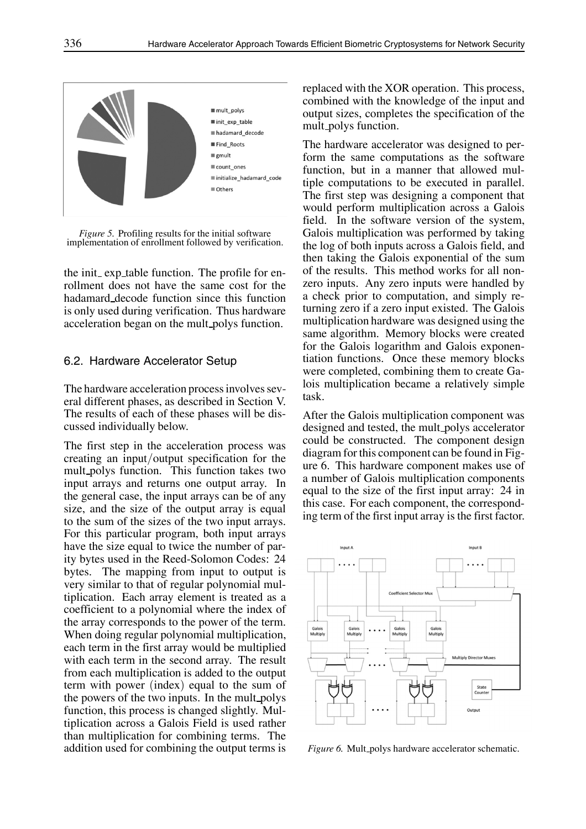

*Figure 5.* Profiling results for the initial software implementation of enrollment followed by verification.

the init exp table function. The profile for enrollment does not have the same cost for the hadamard decode function since this function is only used during verification. Thus hardware acceleration began on the mult polys function.

## 6.2. Hardware Accelerator Setup

The hardware acceleration process involves several different phases, as described in Section V. The results of each of these phases will be discussed individually below.

The first step in the acceleration process was creating an input/output specification for the mult polys function. This function takes two input arrays and returns one output array. In the general case, the input arrays can be of any size, and the size of the output array is equal to the sum of the sizes of the two input arrays. For this particular program, both input arrays have the size equal to twice the number of parity bytes used in the Reed-Solomon Codes: 24 bytes. The mapping from input to output is very similar to that of regular polynomial multiplication. Each array element is treated as a coefficient to a polynomial where the index of the array corresponds to the power of the term. When doing regular polynomial multiplication, each term in the first array would be multiplied with each term in the second array. The result from each multiplication is added to the output term with power (index) equal to the sum of the powers of the two inputs. In the mult polys function, this process is changed slightly. Multiplication across a Galois Field is used rather than multiplication for combining terms. The addition used for combining the output terms is

replaced with the XOR operation. This process, combined with the knowledge of the input and output sizes, completes the specification of the mult polys function.

The hardware accelerator was designed to perform the same computations as the software function, but in a manner that allowed multiple computations to be executed in parallel. The first step was designing a component that would perform multiplication across a Galois field. In the software version of the system, Galois multiplication was performed by taking the log of both inputs across a Galois field, and then taking the Galois exponential of the sum of the results. This method works for all nonzero inputs. Any zero inputs were handled by a check prior to computation, and simply returning zero if a zero input existed. The Galois multiplication hardware was designed using the same algorithm. Memory blocks were created for the Galois logarithm and Galois exponentiation functions. Once these memory blocks were completed, combining them to create Galois multiplication became a relatively simple task.

After the Galois multiplication component was designed and tested, the mult polys accelerator could be constructed. The component design diagram for this component can be found in Figure 6. This hardware component makes use of a number of Galois multiplication components equal to the size of the first input array: 24 in this case. For each component, the corresponding term of the first input array is the first factor.



*Figure 6.* Mult\_polys hardware accelerator schematic.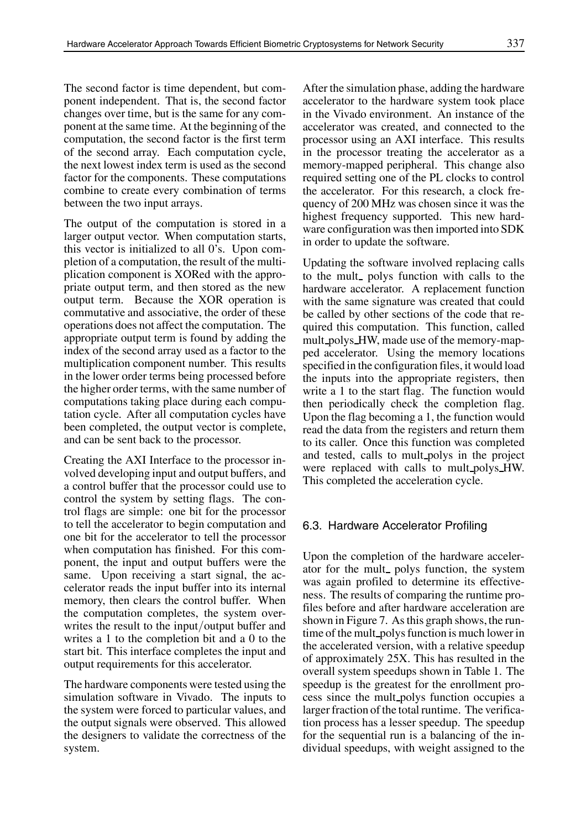The second factor is time dependent, but component independent. That is, the second factor changes over time, but is the same for any component at the same time. At the beginning of the computation, the second factor is the first term of the second array. Each computation cycle, the next lowest index term is used as the second factor for the components. These computations combine to create every combination of terms between the two input arrays.

The output of the computation is stored in a larger output vector. When computation starts, this vector is initialized to all 0's. Upon completion of a computation, the result of the multiplication component is XORed with the appropriate output term, and then stored as the new output term. Because the XOR operation is commutative and associative, the order of these operations does not affect the computation. The appropriate output term is found by adding the index of the second array used as a factor to the multiplication component number. This results in the lower order terms being processed before the higher order terms, with the same number of computations taking place during each computation cycle. After all computation cycles have been completed, the output vector is complete, and can be sent back to the processor.

Creating the AXI Interface to the processor involved developing input and output buffers, and a control buffer that the processor could use to control the system by setting flags. The control flags are simple: one bit for the processor to tell the accelerator to begin computation and one bit for the accelerator to tell the processor when computation has finished. For this component, the input and output buffers were the same. Upon receiving a start signal, the accelerator reads the input buffer into its internal memory, then clears the control buffer. When the computation completes, the system overwrites the result to the input/output buffer and writes a 1 to the completion bit and a 0 to the start bit. This interface completes the input and output requirements for this accelerator.

The hardware components were tested using the simulation software in Vivado. The inputs to the system were forced to particular values, and the output signals were observed. This allowed the designers to validate the correctness of the system.

After the simulation phase, adding the hardware accelerator to the hardware system took place in the Vivado environment. An instance of the accelerator was created, and connected to the processor using an AXI interface. This results in the processor treating the accelerator as a memory-mapped peripheral. This change also required setting one of the PL clocks to control the accelerator. For this research, a clock frequency of 200 MHz was chosen since it was the highest frequency supported. This new hardware configuration was then imported into SDK in order to update the software.

Updating the software involved replacing calls to the mult polys function with calls to the hardware accelerator. A replacement function with the same signature was created that could be called by other sections of the code that required this computation. This function, called mult polys HW, made use of the memory-mapped accelerator. Using the memory locations specified in the configuration files, it would load the inputs into the appropriate registers, then write a 1 to the start flag. The function would then periodically check the completion flag. Upon the flag becoming a 1, the function would read the data from the registers and return them to its caller. Once this function was completed and tested, calls to mult polys in the project were replaced with calls to mult polys HW. This completed the acceleration cycle.

## 6.3. Hardware Accelerator Profiling

Upon the completion of the hardware accelerator for the mult<sub>r</sub> polys function, the system was again profiled to determine its effectiveness. The results of comparing the runtime profiles before and after hardware acceleration are shown in Figure 7. As this graph shows, the runtime of the mult polys function is much lower in the accelerated version, with a relative speedup of approximately 25X. This has resulted in the overall system speedups shown in Table 1. The speedup is the greatest for the enrollment process since the mult polys function occupies a larger fraction of the total runtime. The verification process has a lesser speedup. The speedup for the sequential run is a balancing of the individual speedups, with weight assigned to the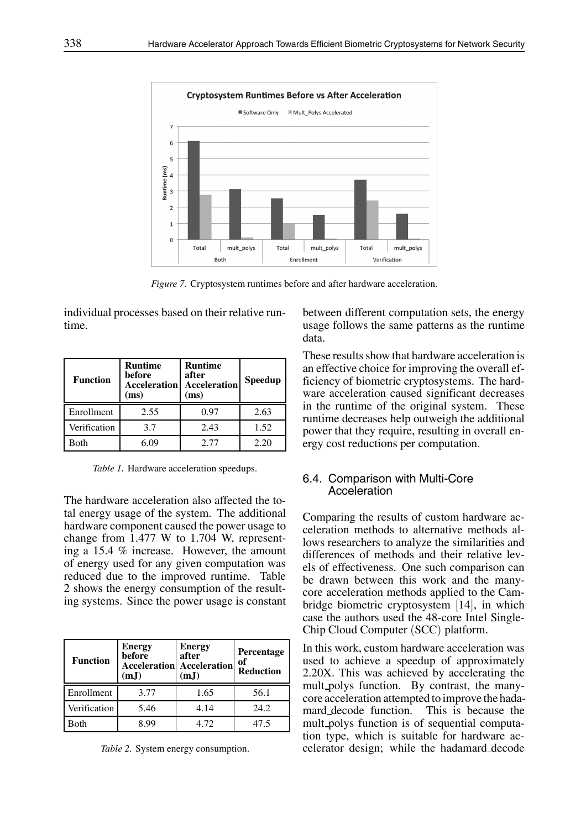

*Figure 7.* Cryptosystem runtimes before and after hardware acceleration.

individual processes based on their relative runtime.

| <b>Function</b> | <b>Runtime</b><br>before<br><b>Acceleration</b><br>(ms) | <b>Runtime</b><br>after<br><b>Acceleration</b><br>(ms) | <b>Speedup</b> |
|-----------------|---------------------------------------------------------|--------------------------------------------------------|----------------|
| Enrollment      | 2.55                                                    | 0.97                                                   | 2.63           |
| Verification    | 3.7                                                     | 2.43                                                   | 1.52           |
| Both            | 6.09                                                    | 2.77                                                   | 2.20           |

*Table 1.* Hardware acceleration speedups.

The hardware acceleration also affected the total energy usage of the system. The additional hardware component caused the power usage to change from 1.477 W to 1.704 W, representing a 15.4 % increase. However, the amount of energy used for any given computation was reduced due to the improved runtime. Table 2 shows the energy consumption of the resulting systems. Since the power usage is constant

| <b>Function</b> | <b>Energy</b><br>before<br>(mJ) | <b>Energy</b><br>after<br><b>Acceleration</b> Acceleration<br>(m,I) | Percentage<br>of<br><b>Reduction</b> |
|-----------------|---------------------------------|---------------------------------------------------------------------|--------------------------------------|
| Enrollment      | 3.77                            | 1.65                                                                | 56.1                                 |
| Verification    | 5.46                            | 4.14                                                                | 24.2                                 |
| Both            | 8.99                            | 4.72                                                                | 47.5                                 |

*Table 2.* System energy consumption.

between different computation sets, the energy usage follows the same patterns as the runtime data.

These results show that hardware acceleration is an effective choice for improving the overall efficiency of biometric cryptosystems. The hardware acceleration caused significant decreases in the runtime of the original system. These runtime decreases help outweigh the additional power that they require, resulting in overall energy cost reductions per computation.

# 6.4. Comparison with Multi-Core Acceleration

Comparing the results of custom hardware acceleration methods to alternative methods allows researchers to analyze the similarities and differences of methods and their relative levels of effectiveness. One such comparison can be drawn between this work and the manycore acceleration methods applied to the Cambridge biometric cryptosystem [14], in which case the authors used the 48-core Intel Single-Chip Cloud Computer (SCC) platform.

In this work, custom hardware acceleration was used to achieve a speedup of approximately 2.20X. This was achieved by accelerating the mult polys function. By contrast, the manycore acceleration attempted to improve the hadamard decode function. This is because the mult polys function is of sequential computation type, which is suitable for hardware accelerator design; while the hadamard decode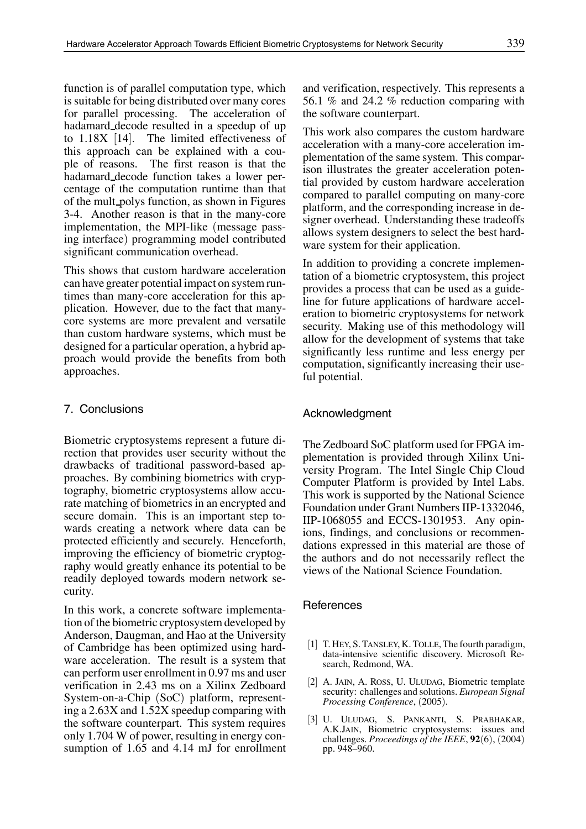function is of parallel computation type, which is suitable for being distributed over many cores for parallel processing. The acceleration of hadamard decode resulted in a speedup of up to 1.18X [14]. The limited effectiveness of this approach can be explained with a couple of reasons. The first reason is that the hadamard decode function takes a lower percentage of the computation runtime than that of the mult polys function, as shown in Figures 3-4. Another reason is that in the many-core implementation, the MPI-like (message passing interface) programming model contributed significant communication overhead.

This shows that custom hardware acceleration can have greater potential impact on system runtimes than many-core acceleration for this application. However, due to the fact that manycore systems are more prevalent and versatile than custom hardware systems, which must be designed for a particular operation, a hybrid approach would provide the benefits from both approaches.

## 7. Conclusions

Biometric cryptosystems represent a future direction that provides user security without the drawbacks of traditional password-based approaches. By combining biometrics with cryptography, biometric cryptosystems allow accurate matching of biometrics in an encrypted and secure domain. This is an important step towards creating a network where data can be protected efficiently and securely. Henceforth, improving the efficiency of biometric cryptography would greatly enhance its potential to be readily deployed towards modern network security.

In this work, a concrete software implementation of the biometric cryptosystem developed by Anderson, Daugman, and Hao at the University of Cambridge has been optimized using hardware acceleration. The result is a system that can perform user enrollment in 0.97 ms and user verification in 2.43 ms on a Xilinx Zedboard System-on-a-Chip (SoC) platform, representing a 2.63X and 1.52X speedup comparing with the software counterpart. This system requires only 1.704 W of power, resulting in energy consumption of 1.65 and 4.14 mJ for enrollment and verification, respectively. This represents a 56.1 % and 24.2 % reduction comparing with the software counterpart.

This work also compares the custom hardware acceleration with a many-core acceleration implementation of the same system. This comparison illustrates the greater acceleration potential provided by custom hardware acceleration compared to parallel computing on many-core platform, and the corresponding increase in designer overhead. Understanding these tradeoffs allows system designers to select the best hardware system for their application.

In addition to providing a concrete implementation of a biometric cryptosystem, this project provides a process that can be used as a guideline for future applications of hardware acceleration to biometric cryptosystems for network security. Making use of this methodology will allow for the development of systems that take significantly less runtime and less energy per computation, significantly increasing their useful potential.

#### Acknowledgment

The Zedboard SoC platform used for FPGA implementation is provided through Xilinx University Program. The Intel Single Chip Cloud Computer Platform is provided by Intel Labs. This work is supported by the National Science Foundation under Grant Numbers IIP-1332046, IIP-1068055 and ECCS-1301953. Any opinions, findings, and conclusions or recommendations expressed in this material are those of the authors and do not necessarily reflect the views of the National Science Foundation.

#### References

- [1] T. HEY, S. TANSLEY, K. TOLLE, The fourth paradigm, data-intensive scientific discovery. Microsoft Research, Redmond, WA.
- [2] A. JAIN, A. ROSS, U. ULUDAG, Biometric template security: challenges and solutions. *European Signal Processing Conference*, (2005).
- [3] U. ULUDAG, S. PANKANTI, S. PRABHAKAR, A.K.JAIN, Biometric cryptosystems: issues and challenges. *Proceedings of the IEEE*, **92**(6), (2004) pp. 948–960.